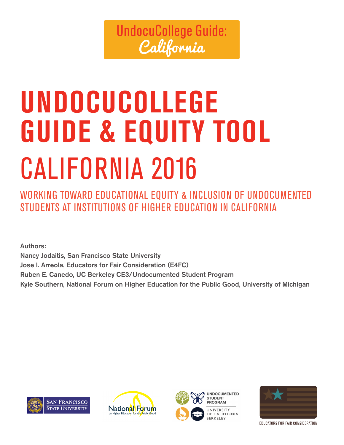# **UndocuCollege Guide:** California

# **UNDOCUCOLLEGE GUIDE & EQUITY TOOL** CALIFORNIA 2016

WORKING TOWARD EDUCATIONAL EQUITY & INCLUSION OF UNDOCUMENTED STUDENTS AT INSTITUTIONS OF HIGHER EDUCATION IN CALIFORNIA

Authors: Nancy Jodaitis, San Francisco State University Jose I. Arreola, Educators for Fair Consideration (E4FC) Ruben E. Canedo, UC Berkeley CE3/Undocumented Student Program Kyle Southern, National Forum on Higher Education for the Public Good, University of Michigan







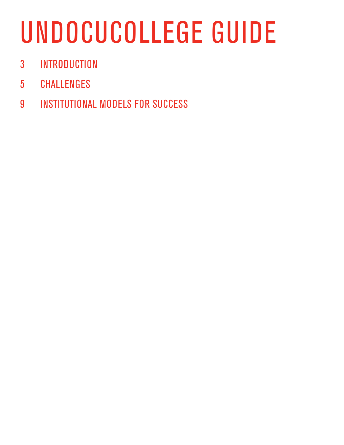# UNDOCUCOLLEGE GUIDE

- INTRODUCTION
- CHALLENGES
- INSTITUTIONAL MODELS FOR SUCCESS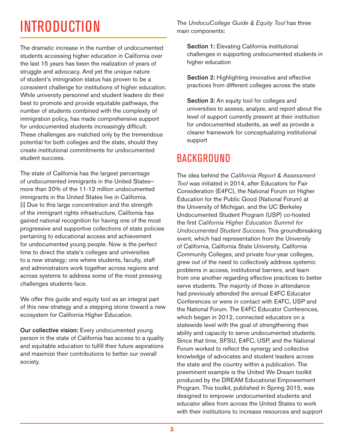# INTRODUCTION

The dramatic increase in the number of undocumented students accessing higher education in California over the last 15 years has been the realization of years of struggle and advocacy. And yet the unique nature of student's immigration status has proven to be a consistent challenge for institutions of higher education. While university personnel and student leaders do their best to promote and provide equitable pathways, the number of students combined with the complexity of immigration policy, has made comprehensive support for undocumented students increasingly difficult. These challenges are matched only by the tremendous potential for both colleges and the state, should they create institutional commitments for undocumented student success.

The state of California has the largest percentage of undocumented immigrants in the United States more than 20% of the 11-12 million undocumented immigrants in the United States live in California. [i] Due to this large concentration and the strength of the immigrant rights infrastructure, California has gained national recognition for having one of the most progressive and supportive collections of state policies pertaining to educational access and achievement for undocumented young people. Now is the perfect time to direct the state's colleges and universities to a new strategy; one where students, faculty, staff and administrators work together across regions and across systems to address some of the most pressing challenges students face.

We offer this guide and equity tool as an integral part of this new strategy and a stepping stone toward a new ecosystem for California Higher Education.

Our collective vision: Every undocumented young person in the state of California has access to a quality and equitable education to fulfill their future aspirations and maximize their contributions to better our overall society.

The *UndocuCollege Guide & Equity Tool* has three main components:

Section 1: Elevating California institutional challenges in supporting undocumented students in higher education

Section 2: Highlighting innovative and effective practices from different colleges across the state

Section 3: An equity tool for colleges and universities to assess, analyze, and report about the level of support currently present at their institution for undocumented students, as well as provide a clearer framework for conceptualizing institutional support

### **BACKGROUND**

The idea behind the *California Report & Assessment Tool* was initiated in 2014, after Educators for Fair Consideration (E4FC), the National Forum on Higher Education for the Public Good (National Forum) at the University of Michigan, and the UC Berkeley Undocumented Student Program (USP) co-hosted the first *California Higher Education Summit for Undocumented Student Success*. This groundbreaking event, which had representation from the University of California, California State University, California Community Colleges, and private four-year colleges, grew out of the need to collectively address systemic problems in access, institutional barriers, and learn from one another regarding effective practices to better serve students. The majority of those in attendance had previously attended the annual E4FC Educator Conferences or were in contact with E4FC, USP and the National Forum. The E4FC Educator Conferences, which began in 2012, connected educators on a statewide level with the goal of strengthening their ability and capacity to serve undocumented students. Since that time, SFSU, E4FC, USP, and the National Forum worked to reflect the synergy and collective knowledge of advocates and student leaders across the state and the country within a publication. The preeminent example is the United We Dream toolkit produced by the DREAM Educational Empowerment Program. This toolkit, published in Spring 2015, was designed to empower undocumented students and educator allies from across the United States to work with their institutions to increase resources and support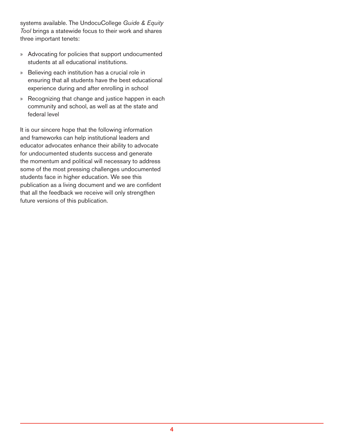systems available. The UndocuCollege *Guide & Equity Tool* brings a statewide focus to their work and shares three important tenets:

- » Advocating for policies that support undocumented students at all educational institutions.
- » Believing each institution has a crucial role in ensuring that all students have the best educational experience during and after enrolling in school
- » Recognizing that change and justice happen in each community and school, as well as at the state and federal level

It is our sincere hope that the following information and frameworks can help institutional leaders and educator advocates enhance their ability to advocate for undocumented students success and generate the momentum and political will necessary to address some of the most pressing challenges undocumented students face in higher education. We see this publication as a living document and we are confident that all the feedback we receive will only strengthen future versions of this publication.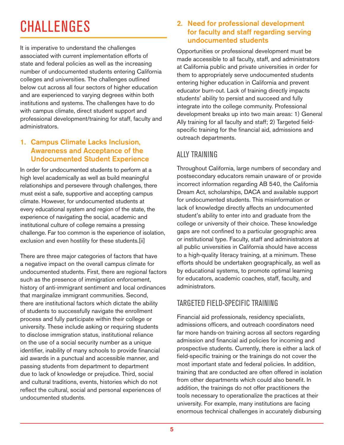# **CHALLENGES**

It is imperative to understand the challenges associated with current implementation efforts of state and federal policies as well as the increasing number of undocumented students entering California colleges and universities. The challenges outlined below cut across all four sectors of higher education and are experienced to varying degrees within both institutions and systems. The challenges have to do with campus climate, direct student support and professional development/training for staff, faculty and administrators.

#### 1. Campus Climate Lacks Inclusion, Awareness and Acceptance of the Undocumented Student Experience

In order for undocumented students to perform at a high level academically as well as build meaningful relationships and persevere through challenges, there must exist a safe, supportive and accepting campus climate. However, for undocumented students at every educational system and region of the state, the experience of navigating the social, academic and institutional culture of college remains a pressing challenge. Far too common is the experience of isolation, exclusion and even hostility for these students.[ii]

There are three major categories of factors that have a negative impact on the overall campus climate for undocumented students. First, there are regional factors such as the presence of immigration enforcement, history of anti-immigrant sentiment and local ordinances that marginalize immigrant communities. Second, there are institutional factors which dictate the ability of students to successfully navigate the enrollment process and fully participate within their college or university. These include asking or requiring students to disclose immigration status, institutional reliance on the use of a social security number as a unique identifier, inability of many schools to provide financial aid awards in a punctual and accessible manner, and passing students from department to department due to lack of knowledge or prejudice. Third, social and cultural traditions, events, histories which do not reflect the cultural, social and personal experiences of undocumented students.

#### 2. Need for professional development for faculty and staff regarding serving undocumented students

Opportunities or professional development must be made accessible to all faculty, staff, and administrators at California public and private universities in order for them to appropriately serve undocumented students entering higher education in California and prevent educator burn-out. Lack of training directly impacts students' ability to persist and succeed and fully integrate into the college community. Professional development breaks up into two main areas: 1) General Ally training for all faculty and staff; 2) Targeted fieldspecific training for the financial aid, admissions and outreach departments.

#### ALLY TRAINING

Throughout California, large numbers of secondary and postsecondary educators remain unaware of or provide incorrect information regarding AB 540, the California Dream Act, scholarships, DACA and available support for undocumented students. This misinformation or lack of knowledge directly affects an undocumented student's ability to enter into and graduate from the college or university of their choice. These knowledge gaps are not confined to a particular geographic area or institutional type. Faculty, staff and administrators at all public universities in California should have access to a high-quality literacy training, at a minimum. These efforts should be undertaken geographically, as well as by educational systems, to promote optimal learning for educators, academic coaches, staff, faculty, and administrators.

#### TARGETED FIELD-SPECIFIC TRAINING

Financial aid professionals, residency specialists, admissions officers, and outreach coordinators need far more hands-on training across all sectors regarding admission and financial aid policies for incoming and prospective students. Currently, there is either a lack of field-specific training or the trainings do not cover the most important state and federal policies. In addition, training that are conducted are often offered in isolation from other departments which could also benefit. In addition, the trainings do not offer practitioners the tools necessary to operationalize the practices at their university. For example, many institutions are facing enormous technical challenges in accurately disbursing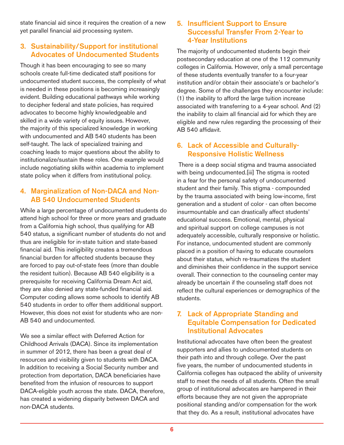state financial aid since it requires the creation of a new yet parallel financial aid processing system.

#### 3. Sustainability/Support for institutional Advocates of Undocumented Students

Though it has been encouraging to see so many schools create full-time dedicated staff positions for undocumented student success, the complexity of what is needed in these positions is becoming increasingly evident. Building educational pathways while working to decipher federal and state policies, has required advocates to become highly knowledgeable and skilled in a wide variety of equity issues. However, the majority of this specialized knowledge in working with undocumented and AB 540 students has been self-taught. The lack of specialized training and coaching leads to major questions about the ability to institutionalize/sustain these roles. One example would include negotiating skills within academia to implement state policy when it differs from institutional policy.

#### 4. Marginalization of Non-DACA and Non-AB 540 Undocumented Students

While a large percentage of undocumented students do attend high school for three or more years and graduate from a California high school, thus qualifying for AB 540 status, a significant number of students do not and thus are ineligible for in-state tuition and state-based financial aid. This ineligibility creates a tremendous financial burden for affected students because they are forced to pay out-of-state fees (more than double the resident tuition). Because AB 540 eligibility is a prerequisite for receiving California Dream Act aid, they are also denied any state-funded financial aid. Computer coding allows some schools to identify AB 540 students in order to offer them additional support. However, this does not exist for students who are non-AB 540 and undocumented.

We see a similar effect with Deferred Action for Childhood Arrivals (DACA). Since its implementation in summer of 2012, there has been a great deal of resources and visibility given to students with DACA. In addition to receiving a Social Security number and protection from deportation, DACA beneficiaries have benefited from the infusion of resources to support DACA-eligible youth across the state. DACA, therefore, has created a widening disparity between DACA and non-DACA students.

#### 5. Insufficient Support to Ensure Successful Transfer From 2-Year to 4-Year Institutions

The majority of undocumented students begin their postsecondary education at one of the 112 community colleges in California. However, only a small percentage of these students eventually transfer to a four-year institution and/or obtain their associate's or bachelor's degree. Some of the challenges they encounter include: (1) the inability to afford the large tuition increase associated with transferring to a 4-year school. And (2) the inability to claim all financial aid for which they are eligible and new rules regarding the processing of their AB 540 affidavit.

#### 6. Lack of Accessible and Culturally-Responsive Holistic Wellness

 There is a deep social stigma and trauma associated with being undocumented.[iii] The stigma is rooted in a fear for the personal safety of undocumented student and their family. This stigma - compounded by the trauma associated with being low-income, first generation and a student of color - can often become insurmountable and can drastically affect students' educational success. Emotional, mental, physical and spiritual support on college campuses is not adequately accessible, culturally responsive or holistic. For instance, undocumented student are commonly placed in a position of having to educate counselors about their status, which re-traumatizes the student and diminishes their confidence in the support service overall. Their connection to the counseling center may already be uncertain if the counseling staff does not reflect the cultural experiences or demographics of the students.

#### 7. Lack of Appropriate Standing and Equitable Compensation for Dedicated Institutional Advocates

Institutional advocates have often been the greatest supporters and allies to undocumented students on their path into and through college. Over the past five years, the number of undocumented students in California colleges has outpaced the ability of university staff to meet the needs of all students. Often the small group of institutional advocates are hampered in their efforts because they are not given the appropriate positional standing and/or compensation for the work that they do. As a result, institutional advocates have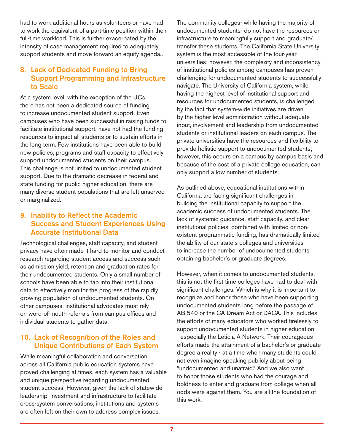had to work additional hours as volunteers or have had to work the equivalent of a part-time position within their full-time workload. This is further exacerbated by the intensity of case management required to adequately support students and move forward an equity agenda..

#### 8. Lack of Dedicated Funding to Bring Support Programming and Infrastructure to Scale

At a system level, with the exception of the UCs, there has not been a dedicated source of funding to increase undocumented student support. Even campuses who have been successful in raising funds to facilitate institutional support, have not had the funding resources to impact all students or to sustain efforts in the long term. Few institutions have been able to build new policies, programs and staff capacity to effectively support undocumented students on their campus. This challenge is not limited to undocumented student support. Due to the dramatic decrease in federal and state funding for public higher education, there are many diverse student populations that are left unserved or marginalized.

#### 9. Inability to Reflect the Academic Success and Student Experiences Using Accurate Institutional Data

Technological challenges, staff capacity, and student privacy have often made it hard to monitor and conduct research regarding student access and success such as admission yield, retention and graduation rates for their undocumented students. Only a small number of schools have been able to tap into their institutional data to effectively monitor the progress of the rapidly growing population of undocumented students. On other campuses, institutional advocates must rely on word-of-mouth referrals from campus offices and individual students to gather data.

#### 10. Lack of Recognition of the Roles and Unique Contributions of Each System

While meaningful collaboration and conversation across all California public education systems have proved challenging at times, each system has a valuable and unique perspective regarding undocumented student success. However, given the lack of statewide leadership, investment and infrastructure to facilitate cross-system conversations, institutions and systems are often left on their own to address complex issues.

The community colleges- while having the majority of undocumented students- do not have the resources or infrastructure to meaningfully support and graduate/ transfer these students. The California State University system is the most accessible of the four-year universities; however, the complexity and inconsistency of institutional policies among campuses has proven challenging for undocumented students to successfully navigate. The University of California system, while having the highest level of institutional support and resources for undocumented students, is challenged by the fact that system-wide initiatives are driven by the higher level administration without adequate input, involvement and leadership from undocumented students or institutional leaders on each campus. The private universities have the resources and flexibility to provide holistic support to undocumented students; however, this occurs on a campus by campus basis and because of the cost of a private college education, can only support a low number of students.

As outlined above, educational institutions within California are facing significant challenges in building the institutional capacity to support the academic success of undocumented students. The lack of systemic guidance, staff capacity, and clear institutional policies, combined with limited or nonexistent programmatic funding, has dramatically limited the ability of our state's colleges and universities to increase the number of undocumented students obtaining bachelor's or graduate degrees.

However, when it comes to undocumented students, this is not the first time colleges have had to deal with significant challenges. Which is why it is important to recognize and honor those who have been supporting undocumented students long before the passage of AB 540 or the CA Dream Act or DACA. This includes the efforts of many educators who worked tirelessly to support undocumented students in higher education - especially the Leticia A Network. Their courageous efforts made the attainment of a bachelor's or graduate degree a reality - at a time when many students could not even imagine speaking publicly about being "undocumented and unafraid." And we also want to honor those students who had the courage and boldness to enter and graduate from college when all odds were against them. You are all the foundation of this work.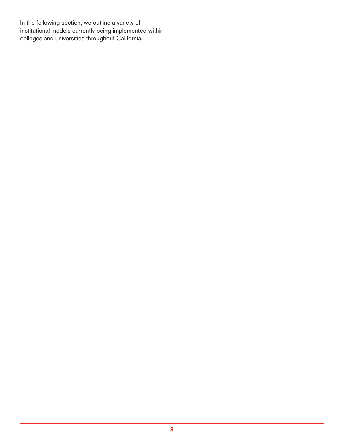In the following section, we outline a variety of institutional models currently being implemented within colleges and universities throughout California.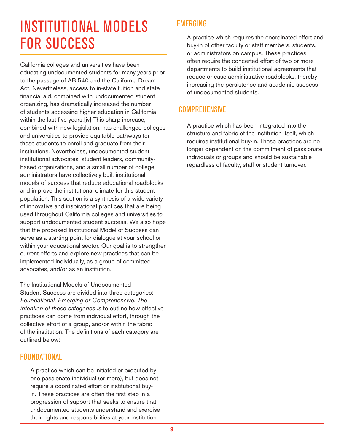# INSTITUTIONAL MODELS FOR SUCCESS

California colleges and universities have been educating undocumented students for many years prior to the passage of AB 540 and the California Dream Act. Nevertheless, access to in-state tuition and state financial aid, combined with undocumented student organizing, has dramatically increased the number of students accessing higher education in California within the last five years.[iv] This sharp increase, combined with new legislation, has challenged colleges and universities to provide equitable pathways for these students to enroll and graduate from their institutions. Nevertheless, undocumented student institutional advocates, student leaders, communitybased organizations, and a small number of college administrators have collectively built institutional models of success that reduce educational roadblocks and improve the institutional climate for this student population. This section is a synthesis of a wide variety of innovative and inspirational practices that are being used throughout California colleges and universities to support undocumented student success. We also hope that the proposed Institutional Model of Success can serve as a starting point for dialogue at your school or within your educational sector. Our goal is to strengthen current efforts and explore new practices that can be implemented individually, as a group of committed advocates, and/or as an institution.

The Institutional Models of Undocumented Student Success are divided into three categories: *Foundational, Emerging or Comprehensive. The intention of these categories is* to outline how effective practices can come from individual effort, through the collective effort of a group, and/or within the fabric of the institution. The definitions of each category are outlined below:

#### FOUNDATIONAL

A practice which can be initiated or executed by one passionate individual (or more), but does not require a coordinated effort or institutional buyin. These practices are often the first step in a progression of support that seeks to ensure that undocumented students understand and exercise their rights and responsibilities at your institution.

#### EMERGING

A practice which requires the coordinated effort and buy-in of other faculty or staff members, students, or administrators on campus. These practices often require the concerted effort of two or more departments to build institutional agreements that reduce or ease administrative roadblocks, thereby increasing the persistence and academic success of undocumented students.

#### **COMPREHENSIVE**

A practice which has been integrated into the structure and fabric of the institution itself, which requires institutional buy-in. These practices are no longer dependent on the commitment of passionate individuals or groups and should be sustainable regardless of faculty, staff or student turnover.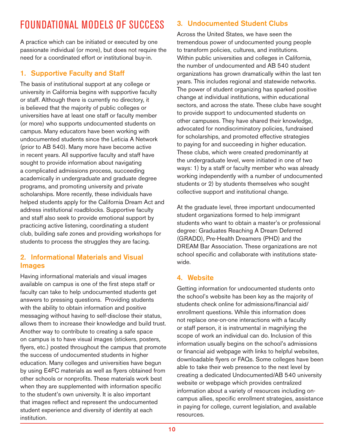## FOUNDATIONAL MODELS OF SUCCESS

A practice which can be initiated or executed by one passionate individual (or more), but does not require the need for a coordinated effort or institutional buy-in.

#### 1. Supportive Faculty and Staff

The basis of institutional support at any college or university in California begins with supportive faculty or staff. Although there is currently no directory, it is believed that the majority of public colleges or universities have at least one staff or faculty member (or more) who supports undocumented students on campus. Many educators have been working with undocumented students since the Leticia A Network (prior to AB 540). Many more have become active in recent years. All supportive faculty and staff have sought to provide information about navigating a complicated admissions process, succeeding academically in undergraduate and graduate degree programs, and promoting university and private scholarships. More recently, these individuals have helped students apply for the California Dream Act and address institutional roadblocks. Supportive faculty and staff also seek to provide emotional support by practicing active listening, coordinating a student club, building safe zones and providing workshops for students to process the struggles they are facing.

#### 2. Informational Materials and Visual Images

Having informational materials and visual images available on campus is one of the first steps staff or faculty can take to help undocumented students get answers to pressing questions. Providing students with the ability to obtain information and positive messaging without having to self-disclose their status, allows them to increase their knowledge and build trust. Another way to contribute to creating a safe space on campus is to have visual images (stickers, posters, flyers, etc.) posted throughout the campus that promote the success of undocumented students in higher education. Many colleges and universities have begun by using E4FC materials as well as flyers obtained from other schools or nonprofits. These materials work best when they are supplemented with information specific to the student's own university. It is also important that images reflect and represent the undocumented student experience and diversity of identity at each institution.

#### 3. Undocumented Student Clubs

Across the United States, we have seen the tremendous power of undocumented young people to transform policies, cultures, and institutions. Within public universities and colleges in California, the number of undocumented and AB 540 student organizations has grown dramatically within the last ten years. This includes regional and statewide networks. The power of student organizing has sparked positive change at individual institutions, within educational sectors, and across the state. These clubs have sought to provide support to undocumented students on other campuses. They have shared their knowledge, advocated for nondiscriminatory policies, fundraised for scholarships, and promoted effective strategies to paying for and succeeding in higher education. These clubs, which were created predominantly at the undergraduate level, were initiated in one of two ways: 1) by a staff or faculty member who was already working independently with a number of undocumented students or 2) by students themselves who sought collective support and institutional change.

At the graduate level, three important undocumented student organizations formed to help immigrant students who want to obtain a master's or professional degree: Graduates Reaching A Dream Deferred (GRADD), Pre-Health Dreamers (PHD) and the DREAM Bar Association. These organizations are not school specific and collaborate with institutions statewide.

#### 4. Website

Getting information for undocumented students onto the school's website has been key as the majority of students check online for admissions/financial aid/ enrollment questions. While this information does not replace one-on-one interactions with a faculty or staff person, it is instrumental in magnifying the scope of work an individual can do. Inclusion of this information usually begins on the school's admissions or financial aid webpage with links to helpful websites, downloadable flyers or FAQs. Some colleges have been able to take their web presence to the next level by creating a dedicated Undocumented/AB 540 university website or webpage which provides centralized information about a variety of resources including oncampus allies, specific enrollment strategies, assistance in paying for college, current legislation, and available resources.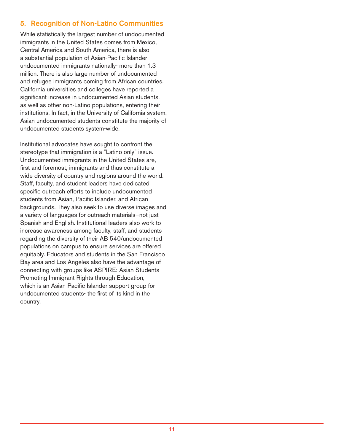#### 5. Recognition of Non-Latino Communities

While statistically the largest number of undocumented immigrants in the United States comes from Mexico, Central America and South America, there is also a substantial population of Asian-Pacific Islander undocumented immigrants nationally- more than 1.3 million. There is also large number of undocumented and refugee immigrants coming from African countries. California universities and colleges have reported a significant increase in undocumented Asian students, as well as other non-Latino populations, entering their institutions. In fact, in the University of California system, Asian undocumented students constitute the majority of undocumented students system-wide.

Institutional advocates have sought to confront the stereotype that immigration is a "Latino only" issue. Undocumented immigrants in the United States are, first and foremost, immigrants and thus constitute a wide diversity of country and regions around the world. Staff, faculty, and student leaders have dedicated specific outreach efforts to include undocumented students from Asian, Pacific Islander, and African backgrounds. They also seek to use diverse images and a variety of languages for outreach materials—not just Spanish and English. Institutional leaders also work to increase awareness among faculty, staff, and students regarding the diversity of their AB 540/undocumented populations on campus to ensure services are offered equitably. Educators and students in the San Francisco Bay area and Los Angeles also have the advantage of connecting with groups like ASPIRE: Asian Students Promoting Immigrant Rights through Education, which is an Asian-Pacific Islander support group for undocumented students- the first of its kind in the country.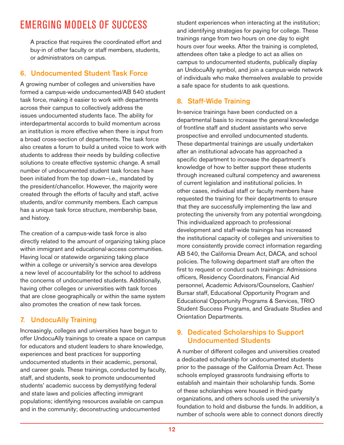### EMERGING MODELS OF SUCCESS

A practice that requires the coordinated effort and buy-in of other faculty or staff members, students, or administrators on campus.

#### 6. Undocumented Student Task Force

A growing number of colleges and universities have formed a campus-wide undocumented/AB 540 student task force, making it easier to work with departments across their campus to collectively address the issues undocumented students face. The ability for interdepartmental accords to build momentum across an institution is more effective when there is input from a broad cross-section of departments. The task force also creates a forum to build a united voice to work with students to address their needs by building collective solutions to create effective systemic change. A small number of undocumented student task forces have been initiated from the top down-i.e., mandated by the president/chancellor. However, the majority were created through the efforts of faculty and staff, active students, and/or community members. Each campus has a unique task force structure, membership base, and history.

The creation of a campus-wide task force is also directly related to the amount of organizing taking place within immigrant and educational-access communities. Having local or statewide organizing taking place within a college or university's service area develops a new level of accountability for the school to address the concerns of undocumented students. Additionally, having other colleges or universities with task forces that are close geographically or within the same system also promotes the creation of new task forces.

#### 7. UndocuAlly Training

Increasingly, colleges and universities have begun to offer UndocuAlly trainings to create a space on campus for educators and student leaders to share knowledge, experiences and best practices for supporting undocumented students in their academic, personal, and career goals. These trainings, conducted by faculty, staff, and students, seek to promote undocumented students' academic success by demystifying federal and state laws and policies affecting immigrant populations; identifying resources available on campus and in the community; deconstructing undocumented

student experiences when interacting at the institution; and identifying strategies for paying for college. These trainings range from two hours on one day to eight hours over four weeks. After the training is completed, attendees often take a pledge to act as allies on campus to undocumented students, publically display an UndocuAlly symbol, and join a campus-wide network of individuals who make themselves available to provide a safe space for students to ask questions.

#### 8. Staff-Wide Training

In-service trainings have been conducted on a departmental basis to increase the general knowledge of frontline staff and student assistants who serve prospective and enrolled undocumented students. These departmental trainings are usually undertaken after an institutional advocate has approached a specific department to increase the department's knowledge of how to better support these students through increased cultural competency and awareness of current legislation and institutional policies. In other cases, individual staff or faculty members have requested the training for their departments to ensure that they are successfully implementing the law and protecting the university from any potential wrongdoing. This individualized approach to professional development and staff-wide trainings has increased the institutional capacity of colleges and universities to more consistently provide correct information regarding AB 540, the California Dream Act, DACA, and school policies. The following department staff are often the first to request or conduct such trainings: Admissions officers, Residency Coordinators, Financial Aid personnel, Academic Advisors/Counselors, Cashier/ Bursar staff, Educational Opportunity Program and Educational Opportunity Programs & Services, TRIO Student Success Programs, and Graduate Studies and Orientation Departments.

#### 9. Dedicated Scholarships to Support Undocumented Students

A number of different colleges and universities created a dedicated scholarship for undocumented students prior to the passage of the California Dream Act. These schools employed grassroots fundraising efforts to establish and maintain their scholarship funds. Some of these scholarships were housed in third-party organizations, and others schools used the university's foundation to hold and disburse the funds. In addition, a number of schools were able to connect donors directly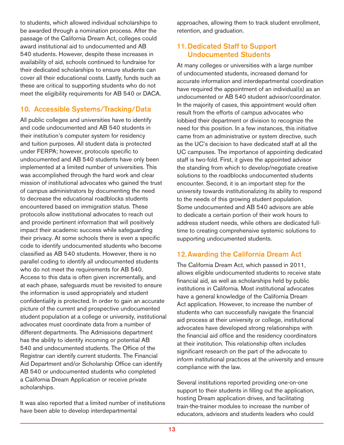to students, which allowed individual scholarships to be awarded through a nomination process. After the passage of the California Dream Act, colleges could award institutional aid to undocumented and AB 540 students. However, despite these increases in availability of aid, schools continued to fundraise for their dedicated scholarships to ensure students can cover all their educational costs. Lastly, funds such as these are critical to supporting students who do not meet the eligibility requirements for AB 540 or DACA.

#### 10. Accessible Systems/Tracking/Data

All public colleges and universities have to identify and code undocumented and AB 540 students in their institution's computer system for residency and tuition purposes. All student data is protected under FERPA; however, protocols specific to undocumented and AB 540 students have only been implemented at a limited number of universities. This was accomplished through the hard work and clear mission of institutional advocates who gained the trust of campus administrators by documenting the need to decrease the educational roadblocks students encountered based on immigration status. These protocols allow institutional advocates to reach out and provide pertinent information that will positively impact their academic success while safeguarding their privacy. At some schools there is even a specific code to identify undocumented students who become classified as AB 540 students. However, there is no parallel coding to identify all undocumented students who do not meet the requirements for AB 540. Access to this data is often given incrementally, and at each phase, safeguards must be revisited to ensure the information is used appropriately and student confidentiality is protected. In order to gain an accurate picture of the current and prospective undocumented student population at a college or university, institutional advocates must coordinate data from a number of different departments. The Admissions department has the ability to identify incoming or potential AB 540 and undocumented students. The Office of the Registrar can identify current students. The Financial Aid Department and/or Scholarship Office can identify AB 540 or undocumented students who completed a California Dream Application or receive private scholarships.

It was also reported that a limited number of institutions have been able to develop interdepartmental

approaches, allowing them to track student enrollment, retention, and graduation.

#### 11. Dedicated Staff to Support Undocumented Students

At many colleges or universities with a large number of undocumented students, increased demand for accurate information and interdepartmental coordination have required the appointment of an individual(s) as an undocumented or AB 540 student advisor/coordinator. In the majority of cases, this appointment would often result from the efforts of campus advocates who lobbied their department or division to recognize the need for this position. In a few instances, this initiative came from an administrative or system directive, such as the UC's decision to have dedicated staff at all the UC campuses. The importance of appointing dedicated staff is two-fold. First, it gives the appointed advisor the standing from which to develop/negotiate creative solutions to the roadblocks undocumented students encounter. Second, it is an important step for the university towards institutionalizing its ability to respond to the needs of this growing student population. Some undocumented and AB 540 advisors are able to dedicate a certain portion of their work hours to address student needs, while others are dedicated fulltime to creating comprehensive systemic solutions to supporting undocumented students.

#### 12.Awarding the California Dream Act

The California Dream Act, which passed in 2011, allows eligible undocumented students to receive state financial aid, as well as scholarships held by public institutions in California. Most institutional advocates have a general knowledge of the California Dream Act application. However, to increase the number of students who can successfully navigate the financial aid process at their university or college, institutional advocates have developed strong relationships with the financial aid office and the residency coordinators at their institution. This relationship often includes significant research on the part of the advocate to inform institutional practices at the university and ensure compliance with the law.

Several institutions reported providing one-on-one support to their students in filling out the application, hosting Dream application drives, and facilitating train-the-trainer modules to increase the number of educators, advisors and students leaders who could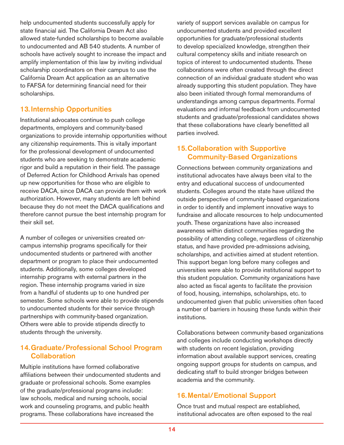help undocumented students successfully apply for state financial aid. The California Dream Act also allowed state-funded scholarships to become available to undocumented and AB 540 students. A number of schools have actively sought to increase the impact and amplify implementation of this law by inviting individual scholarship coordinators on their campus to use the California Dream Act application as an alternative to FAFSA for determining financial need for their scholarships.

#### 13.Internship Opportunities

Institutional advocates continue to push college departments, employers and community-based organizations to provide internship opportunities without any citizenship requirements. This is vitally important for the professional development of undocumented students who are seeking to demonstrate academic rigor and build a reputation in their field. The passage of Deferred Action for Childhood Arrivals has opened up new opportunities for those who are eligible to receive DACA, since DACA can provide them with work authorization. However, many students are left behind because they do not meet the DACA qualifications and therefore cannot pursue the best internship program for their skill set.

A number of colleges or universities created oncampus internship programs specifically for their undocumented students or partnered with another department or program to place their undocumented students. Additionally, some colleges developed internship programs with external partners in the region. These internship programs varied in size from a handful of students up to one hundred per semester. Some schools were able to provide stipends to undocumented students for their service through partnerships with community-based organization. Others were able to provide stipends directly to students through the university.

#### 14. Graduate/Professional School Program **Collaboration**

Multiple institutions have formed collaborative affiliations between their undocumented students and graduate or professional schools. Some examples of the graduate/professional programs include: law schools, medical and nursing schools, social work and counseling programs, and public health programs. These collaborations have increased the

variety of support services available on campus for undocumented students and provided excellent opportunities for graduate/professional students to develop specialized knowledge, strengthen their cultural competency skills and initiate research on topics of interest to undocumented students. These collaborations were often created through the direct connection of an individual graduate student who was already supporting this student population. They have also been initiated through formal memorandums of understandings among campus departments. Formal evaluations and informal feedback from undocumented students and graduate/professional candidates shows that these collaborations have clearly benefitted all parties involved.

#### 15. Collaboration with Supportive Community-Based Organizations

Connections between community organizations and institutional advocates have always been vital to the entry and educational success of undocumented students. Colleges around the state have utilized the outside perspective of community-based organizations in order to identify and implement innovative ways to fundraise and allocate resources to help undocumented youth. These organizations have also increased awareness within distinct communities regarding the possibility of attending college, regardless of citizenship status, and have provided pre-admissions advising, scholarships, and activities aimed at student retention. This support began long before many colleges and universities were able to provide institutional support to this student population. Community organizations have also acted as fiscal agents to facilitate the provision of food, housing, internships, scholarships, etc. to undocumented given that public universities often faced a number of barriers in housing these funds within their institutions.

Collaborations between community-based organizations and colleges include conducting workshops directly with students on recent legislation, providing information about available support services, creating ongoing support groups for students on campus, and dedicating staff to build stronger bridges between academia and the community.

#### 16.Mental/Emotional Support

Once trust and mutual respect are established, institutional advocates are often exposed to the real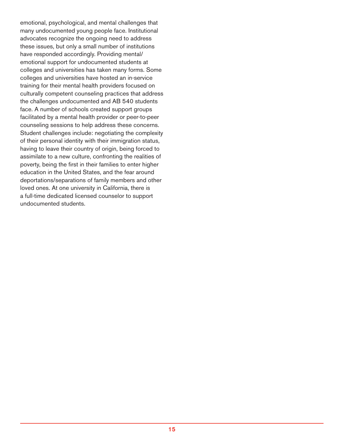emotional, psychological, and mental challenges that many undocumented young people face. Institutional advocates recognize the ongoing need to address these issues, but only a small number of institutions have responded accordingly. Providing mental/ emotional support for undocumented students at colleges and universities has taken many forms. Some colleges and universities have hosted an in-service training for their mental health providers focused on culturally competent counseling practices that address the challenges undocumented and AB 540 students face. A number of schools created support groups facilitated by a mental health provider or peer-to-peer counseling sessions to help address these concerns. Student challenges include: negotiating the complexity of their personal identity with their immigration status, having to leave their country of origin, being forced to assimilate to a new culture, confronting the realities of poverty, being the first in their families to enter higher education in the United States, and the fear around deportations/separations of family members and other loved ones. At one university in California, there is a full-time dedicated licensed counselor to support undocumented students.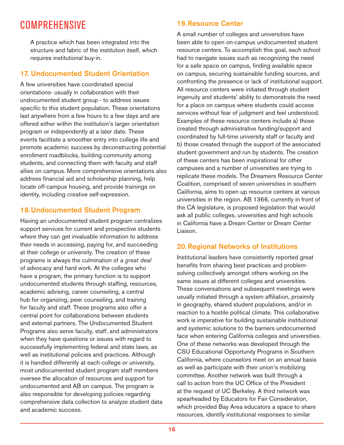### COMPREHENSIVE

A practice which has been integrated into the structure and fabric of the institution itself, which requires institutional buy-in.

#### 17. Undocumented Student Orientation

A few universities have coordinated special orientations- usually in collaboration with their undocumented student group - to address issues specific to this student population. These orientations last anywhere from a few hours to a few days and are offered either within the institution's larger orientation program or independently at a later date. These events facilitate a smoother entry into college life and promote academic success by deconstructing potential enrollment roadblocks, building community among students, and connecting them with faculty and staff allies on campus. More comprehensive orientations also address financial aid and scholarship planning, help locate off-campus housing, and provide trainings on identity, including creative self-expression.

#### 18.Undocumented Student Program

Having an undocumented student program centralizes support services for current and prospective students where they can get invaluable information to address their needs in accessing, paying for, and succeeding at their college or university. The creation of these programs is always the culmination of *a great deal* of advocacy and hard work. At the colleges who have a program, the primary function is to support undocumented students through staffing, resources, academic advising, career counseling, a central hub for organizing, peer counseling, and training for faculty and staff. These programs also offer a central point for collaborations between students and external partners. The Undocumented Student Programs also serve faculty, staff, and administrators when they have questions or issues with regard to successfully implementing federal and state laws, as well as institutional policies and practices. Although it is handled differently at each college or university, most undocumented student program staff members oversee the allocation of resources and support for undocumented and AB on campus. The program is also responsible for developing policies regarding comprehensive data collection to analyze student data and academic success.

#### 19.Resource Center

A small number of colleges and universities have been able to open on-campus undocumented student resource centers. To accomplish this goal, each school had to navigate issues such as recognizing the need for a safe space on campus, finding available space on campus, securing sustainable funding sources, and confronting the presence or lack of institutional support. All resource centers were initiated through student ingenuity and students' ability to demonstrate the need for a place on campus where students could access services without fear of judgment and feel understood. Examples of these resource centers include a) those created through administrative funding/support and coordinated by full-time university staff or faculty and b) those created through the support of the associated student government and run by students. The creation of these centers has been inspirational for other campuses and a number of universities are trying to replicate these models. The Dreamers Resource Center Coalition, comprised of seven universities in southern California, aims to open up resource centers at various universities in the region. AB 1366, currently in front of the CA legislature, is proposed legislation that would ask all public colleges, universities and high schools in California have a Dream Center or Dream Center Liaison.

#### 20.Regional Networks of Institutions

Institutional leaders have consistently reported great benefits from sharing best practices and problemsolving collectively amongst others working on the same issues at different colleges and universities. These conversations and subsequent meetings were usually initiated through a system affiliation, proximity in geography, shared student populations, and/or in reaction to a hostile political climate. This collaborative work is imperative for building sustainable institutional and systemic solutions to the barriers undocumented face when entering California colleges and universities. One of these networks was developed through the CSU Educational Opportunity Programs in Southern California, where counselors meet on an annual basis as well as participate with their union's mobilizing committee. Another network was built through a call to action from the UC Office of the President at the request of UC Berkeley. A third network was spearheaded by Educators for Fair Consideration, which provided Bay Area educators a space to share resources, identify institutional responses to similar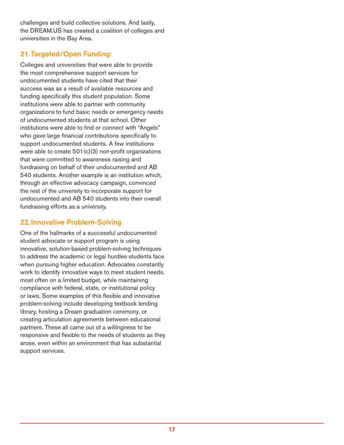challenges and build collective solutions. And lastly, the <DREAM.US>has created a coalition of colleges and universities in the Bay Area.

#### 21.Targeted/Open Funding:

Colleges and universities that were able to provide the most comprehensive support services for undocumented students have cited that their success was as a result of available resources and funding specifically this student population. Some institutions were able to partner with community organizations to fund basic needs or emergency needs of undocumented students at that school. Other institutions were able to find or connect with "Angels" who gave large financial contributions specifically to support undocumented students. A few institutions were able to create  $501(c)(3)$  non-profit organizations that were committed to awareness raising and fundraising on behalf of their undocumented and AB 540 students. Another example is an institution which, through an effective advocacy campaign, convinced the rest of the university to incorporate support for undocumented and AB 540 students into their overall fundraising efforts as a university.

#### 22.Innovative Problem-Solving

One of the hallmarks of a successful undocumented student advocate or support program is using innovative, solution-based problem-solving techniques to address the academic or legal hurdles students face when pursuing higher education. Advocates constantly work to identify innovative ways to meet student needs, most often on a limited budget, while maintaining compliance with federal, state, or institutional policy or laws. Some examples of this flexible and innovative problem-solving include developing textbook lending library, hosting a Dream graduation ceremony, or creating articulation agreements between educational partners. These all came out of a willingness to be responsive and flexible to the needs of students as they arose, even within an environment that has substantial support services.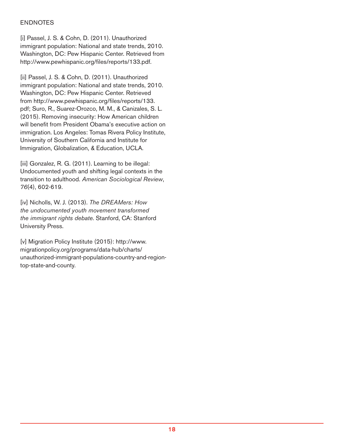#### ENDNOTES

[i] Passel, J. S. & Cohn, D. (2011). Unauthorized immigrant population: National and state trends, 2010. Washington, DC: Pew Hispanic Center. Retrieved from <http://www.pewhispanic.org/files/reports/133.pdf>.

[ii] Passel, J. S. & Cohn, D. (2011). Unauthorized immigrant population: National and state trends, 2010. Washington, DC: Pew Hispanic Center. Retrieved from [http://www.pewhispanic.org/files/reports/133.](http://www.pewhispanic.org/files/reports/133.pdf) [pdf](http://www.pewhispanic.org/files/reports/133.pdf); Suro, R., Suarez-Orozco, M. M., & Canizales, S. L. (2015). Removing insecurity: How American children will benefit from President Obama's executive action on immigration. Los Angeles: Tomas Rivera Policy Institute, University of Southern California and Institute for Immigration, Globalization, & Education, UCLA.

[iii] Gonzalez, R. G. (2011). Learning to be illegal: Undocumented youth and shifting legal contexts in the transition to adulthood. *American Sociological Review*, *76*(4), 602-619.

[iv] Nicholls, W. J. (2013). *The DREAMers: How the undocumented youth movement transformed the immigrant rights debate*. Stanford, CA: Stanford University Press.

[v] Migration Policy Institute (2015)[: http://www.](http://www.migrationpolicy.org/programs/data-hub/charts/unauthorized-immigrant-populations-country-and-region-top-state-and-county) [migrationpolicy.org/programs/data-hub/charts/](http://www.migrationpolicy.org/programs/data-hub/charts/unauthorized-immigrant-populations-country-and-region-top-state-and-county) [unauthorized-immigrant-populations-country-and-region](http://www.migrationpolicy.org/programs/data-hub/charts/unauthorized-immigrant-populations-country-and-region-top-state-and-county)[top-state-and-county](http://www.migrationpolicy.org/programs/data-hub/charts/unauthorized-immigrant-populations-country-and-region-top-state-and-county).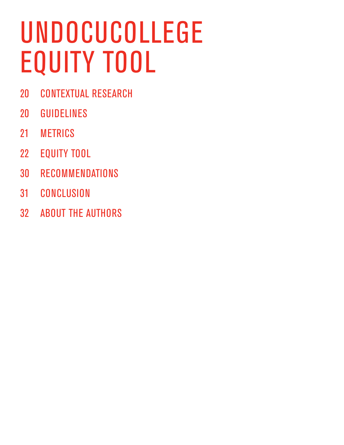# UNDOCUCOLLEGE EQUITY TOOL

- CONTEXTUAL RESEARCH
- GUIDELINES
- METRICS
- EQUITY TOOL
- RECOMMENDATIONS
- CONCLUSION
- ABOUT THE AUTHORS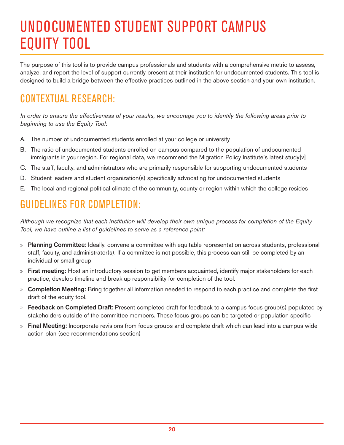# UNDOCUMENTED STUDENT SUPPORT CAMPUS EQUITY TOOL

The purpose of this tool is to provide campus professionals and students with a comprehensive metric to assess, analyze, and report the level of support currently present at their institution for undocumented students. This tool is designed to build a bridge between the effective practices outlined in the above section and your own institution.

### CONTEXTUAL RESEARCH:

*In order to ensure the effectiveness of your results, we encourage you to identify the following areas prior to beginning to use the Equity Tool:* 

- A. The number of undocumented students enrolled at your college or university
- B. The ratio of undocumented students enrolled on campus compared to the population of undocumented immigrants in your region. For regional data, we recommend the Migration Policy Institute's latest study[v]
- C. The staff, faculty, and administrators who are primarily responsible for supporting undocumented students
- D. Student leaders and student organization(s) specifically advocating for undocumented students
- E. The local and regional political climate of the community, county or region within which the college resides

### GUIDELINES FOR COMPLETION:

*Although we recognize that each institution will develop their own unique process for completion of the Equity Tool, we have outline a list of guidelines to serve as a reference point:* 

- » Planning Committee: Ideally, convene a committee with equitable representation across students, professional staff, faculty, and administrator(s). If a committee is not possible, this process can still be completed by an individual or small group
- » First meeting: Host an introductory session to get members acquainted, identify major stakeholders for each practice, develop timeline and break up responsibility for completion of the tool.
- » Completion Meeting: Bring together all information needed to respond to each practice and complete the first draft of the equity tool.
- » Feedback on Completed Draft: Present completed draft for feedback to a campus focus group(s) populated by stakeholders outside of the committee members. These focus groups can be targeted or population specific
- » Final Meeting: Incorporate revisions from focus groups and complete draft which can lead into a campus wide action plan (see recommendations section)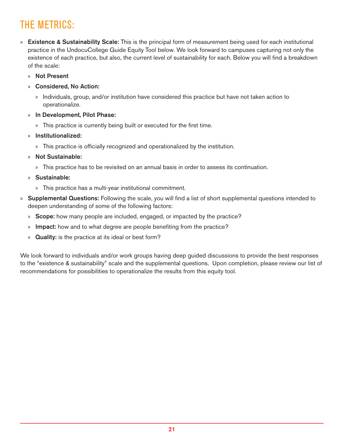## THE METRICS:

- » Existence & Sustainability Scale: This is the principal form of measurement being used for each institutional practice in the UndocuCollege Guide Equity Tool below. We look forward to campuses capturing not only the existence of each practice, but also, the current level of sustainability for each. Below you will find a breakdown of the scale:
	- » Not Present
	- » Considered, No Action:
		- » Individuals, group, and/or institution have considered this practice but have not taken action to operationalize.
	- » In Development, Pilot Phase:
		- » This practice is currently being built or executed for the first time.
	- » Institutionalized:
		- » This practice is officially recognized and operationalized by the institution.
	- » Not Sustainable:
		- » This practice has to be revisited on an annual basis in order to assess its continuation.
	- » Sustainable:
		- » This practice has a multi-year institutional commitment.
- » Supplemental Questions: Following the scale, you will find a list of short supplemental questions intended to deepen understanding of some of the following factors:
	- » Scope: how many people are included, engaged, or impacted by the practice?
	- » Impact: how and to what degree are people benefiting from the practice?
	- » **Quality:** is the practice at its ideal or best form?

We look forward to individuals and/or work groups having deep guided discussions to provide the best responses to the "existence & sustainability" scale and the supplemental questions. Upon completion, please review our list of recommendations for possibilities to operationalize the results from this equity tool.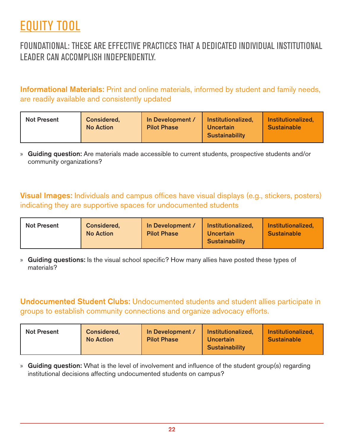## EQUITY TOOL

### FOUNDATIONAL: THESE ARE EFFECTIVE PRACTICES THAT A DEDICATED INDIVIDUAL INSTITUTIONAL LEADER CAN ACCOMPLISH INDEPENDENTLY.

Informational Materials: Print and online materials, informed by student and family needs, are readily available and consistently updated

| <b>Not Present</b> | <b>Considered.</b><br><b>No Action</b> | In Development /<br><b>Pilot Phase</b> | Institutionalized,<br>Uncertain<br><b>Sustainability</b> | Institutionalized,<br><b>Sustainable</b> |
|--------------------|----------------------------------------|----------------------------------------|----------------------------------------------------------|------------------------------------------|
|--------------------|----------------------------------------|----------------------------------------|----------------------------------------------------------|------------------------------------------|

» Guiding question: Are materials made accessible to current students, prospective students and/or community organizations?

Visual Images: Individuals and campus offices have visual displays (e.g., stickers, posters) indicating they are supportive spaces for undocumented students

| <b>Not Present</b> | Considered,<br><b>No Action</b> | In Development /<br><b>Pilot Phase</b> | Institutionalized,<br>Uncertain<br><b>Sustainability</b> | Institutionalized,<br><b>Sustainable</b> |
|--------------------|---------------------------------|----------------------------------------|----------------------------------------------------------|------------------------------------------|
|--------------------|---------------------------------|----------------------------------------|----------------------------------------------------------|------------------------------------------|

» Guiding questions: Is the visual school specific? How many allies have posted these types of materials?

#### Undocumented Student Clubs: Undocumented students and student allies participate in groups to establish community connections and organize advocacy efforts.

| <b>Not Present</b> | Considered,<br><b>No Action</b> | In Development /<br><b>Pilot Phase</b> | Institutionalized.<br>Uncertain<br><b>Sustainability</b> | Institutionalized,<br><b>Sustainable</b> |
|--------------------|---------------------------------|----------------------------------------|----------------------------------------------------------|------------------------------------------|
|--------------------|---------------------------------|----------------------------------------|----------------------------------------------------------|------------------------------------------|

» Guiding question: What is the level of involvement and influence of the student group(s) regarding institutional decisions affecting undocumented students on campus?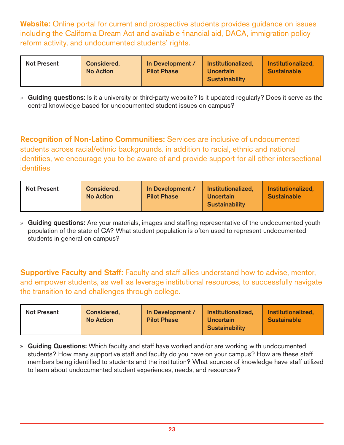Website: Online portal for current and prospective students provides guidance on issues including the California Dream Act and available financial aid, DACA, immigration policy reform activity, and undocumented students' rights.

| <b>Not Present</b><br><b>Considered.</b><br><b>No Action</b> | In Development /<br><b>Pilot Phase</b> | Institutionalized,<br><b>Uncertain</b><br><b>Sustainability</b> | Institutionalized,<br><b>Sustainable</b> |
|--------------------------------------------------------------|----------------------------------------|-----------------------------------------------------------------|------------------------------------------|
|--------------------------------------------------------------|----------------------------------------|-----------------------------------------------------------------|------------------------------------------|

» Guiding questions: Is it a university or third-party website? Is it updated regularly? Does it serve as the central knowledge based for undocumented student issues on campus?

Recognition of Non-Latino Communities: Services are inclusive of undocumented students across racial/ethnic backgrounds. in addition to racial, ethnic and national identities, we encourage you to be aware of and provide support for all other intersectional identities

| <b>Not Present</b> | <b>Considered.</b><br><b>No Action</b> | In Development /<br><b>Pilot Phase</b> | Institutionalized,<br><b>Uncertain</b><br><b>Sustainability</b> | Institutionalized,<br><b>Sustainable</b> |
|--------------------|----------------------------------------|----------------------------------------|-----------------------------------------------------------------|------------------------------------------|
|                    |                                        |                                        |                                                                 |                                          |

» Guiding questions: Are your materials, images and staffing representative of the undocumented youth population of the state of CA? What student population is often used to represent undocumented students in general on campus?

Supportive Faculty and Staff: Faculty and staff allies understand how to advise, mentor, and empower students, as well as leverage institutional resources, to successfully navigate the transition to and challenges through college.

| <b>Not Present</b> | <b>Considered.</b><br><b>No Action</b> | In Development /<br><b>Pilot Phase</b> | Institutionalized,<br><b>Uncertain</b><br><b>Sustainability</b> | Institutionalized,<br><b>Sustainable</b> |
|--------------------|----------------------------------------|----------------------------------------|-----------------------------------------------------------------|------------------------------------------|
|--------------------|----------------------------------------|----------------------------------------|-----------------------------------------------------------------|------------------------------------------|

» Guiding Questions: Which faculty and staff have worked and/or are working with undocumented students? How many supportive staff and faculty do you have on your campus? How are these staff members being identified to students and the institution? What sources of knowledge have staff utilized to learn about undocumented student experiences, needs, and resources?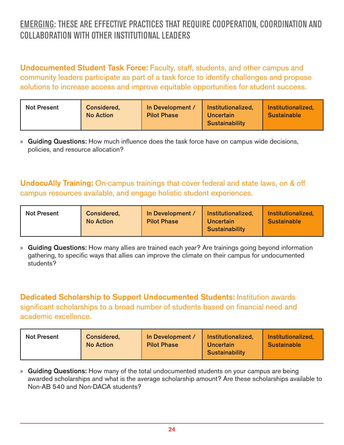### EMERGING: THESE ARE EFFECTIVE PRACTICES THAT REQUIRE COOPERATION, COORDINATION AND COLLABORATION WITH OTHER INSTITUTIONAL LEADERS

Undocumented Student Task Force: Faculty, staff, students, and other campus and community leaders participate as part of a task force to identify challenges and propose solutions to increase access and improve equitable opportunities for student success.

» Guiding Questions: How much influence does the task force have on campus wide decisions, policies, and resource allocation?

UndocuAlly Training: On-campus trainings that cover federal and state laws, on & off campus resources available, and engage holistic student experiences.

| <b>Not Present</b> | <b>Considered,</b><br><b>No Action</b> | In Development /<br><b>Pilot Phase</b> | Institutionalized,<br>Uncertain<br><b>Sustainability</b> | Institutionalized,<br><b>Sustainable</b> |
|--------------------|----------------------------------------|----------------------------------------|----------------------------------------------------------|------------------------------------------|
|--------------------|----------------------------------------|----------------------------------------|----------------------------------------------------------|------------------------------------------|

» Guiding Questions: How many allies are trained each year? Are trainings going beyond information gathering, to specific ways that allies can improve the climate on their campus for undocumented students?

Dedicated Scholarship to Support Undocumented Students: Institution awards significant scholarships to a broad number of students based on financial need and academic excellence.

| <b>Not Present</b><br><b>Considered,</b><br><b>No Action</b> | In Development /<br><b>Pilot Phase</b> | <b>Institutionalized,</b><br><b>Uncertain</b><br><b>Sustainability</b> | Institutionalized,<br><b>Sustainable</b> |
|--------------------------------------------------------------|----------------------------------------|------------------------------------------------------------------------|------------------------------------------|
|--------------------------------------------------------------|----------------------------------------|------------------------------------------------------------------------|------------------------------------------|

» Guiding Questions: How many of the total undocumented students on your campus are being awarded scholarships and what is the average scholarship amount? Are these scholarships available to Non-AB 540 and Non-DACA students?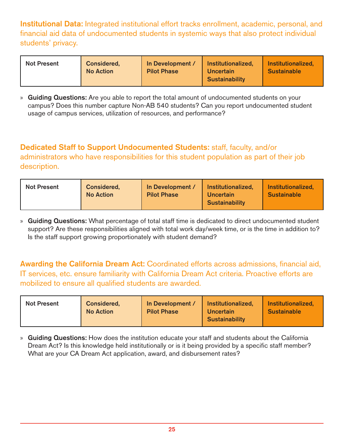Institutional Data: Integrated institutional effort tracks enrollment, academic, personal, and financial aid data of undocumented students in systemic ways that also protect individual students' privacy.

| <b>Not Present</b> | <b>Considered.</b><br><b>No Action</b> | In Development /<br><b>Pilot Phase</b> | Institutionalized,<br><b>Uncertain</b><br><b>Sustainability</b> | Institutionalized,<br><b>Sustainable</b> |
|--------------------|----------------------------------------|----------------------------------------|-----------------------------------------------------------------|------------------------------------------|
|                    |                                        |                                        |                                                                 |                                          |

» Guiding Questions: Are you able to report the total amount of undocumented students on your campus? Does this number capture Non-AB 540 students? Can you report undocumented student usage of campus services, utilization of resources, and performance?

Dedicated Staff to Support Undocumented Students: staff, faculty, and/or administrators who have responsibilities for this student population as part of their job description.

| <b>Not Present</b> | Considered,<br><b>No Action</b> | In Development /<br><b>Pilot Phase</b> | Institutionalized,<br><b>Uncertain</b><br><b>Sustainability</b> | Institutionalized,<br><b>Sustainable</b> |
|--------------------|---------------------------------|----------------------------------------|-----------------------------------------------------------------|------------------------------------------|
|--------------------|---------------------------------|----------------------------------------|-----------------------------------------------------------------|------------------------------------------|

» Guiding Questions: What percentage of total staff time is dedicated to direct undocumented student support? Are these responsibilities aligned with total work day/week time, or is the time in addition to? Is the staff support growing proportionately with student demand?

Awarding the California Dream Act: Coordinated efforts across admissions, financial aid, IT services, etc. ensure familiarity with California Dream Act criteria. Proactive efforts are mobilized to ensure all qualified students are awarded.

| <b>Not Present</b> | <b>Considered,</b><br><b>No Action</b> | In Development /<br><b>Pilot Phase</b> | Institutionalized,<br>Uncertain<br><b>Sustainability</b> | Institutionalized,<br><b>Sustainable</b> |
|--------------------|----------------------------------------|----------------------------------------|----------------------------------------------------------|------------------------------------------|
|--------------------|----------------------------------------|----------------------------------------|----------------------------------------------------------|------------------------------------------|

» Guiding Questions: How does the institution educate your staff and students about the California Dream Act? Is this knowledge held institutionally or is it being provided by a specific staff member? What are your CA Dream Act application, award, and disbursement rates?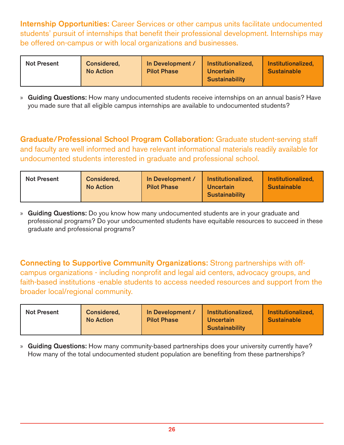Internship Opportunities: Career Services or other campus units facilitate undocumented students' pursuit of internships that benefit their professional development. Internships may be offered on-campus or with local organizations and businesses.

| <b>Not Present</b> | <b>Considered,</b><br><b>No Action</b> | In Development /<br><b>Pilot Phase</b> | Institutionalized,<br><b>Uncertain</b><br><b>Sustainability</b> | Institutionalized,<br><b>Sustainable</b> |
|--------------------|----------------------------------------|----------------------------------------|-----------------------------------------------------------------|------------------------------------------|
|                    |                                        |                                        |                                                                 |                                          |

» Guiding Questions: How many undocumented students receive internships on an annual basis? Have you made sure that all eligible campus internships are available to undocumented students?

Graduate/Professional School Program Collaboration: Graduate student-serving staff and faculty are well informed and have relevant informational materials readily available for undocumented students interested in graduate and professional school.

| <b>Not Present</b> | <b>Considered.</b><br><b>No Action</b> | In Development /<br><b>Pilot Phase</b> | Institutionalized,<br><b>Uncertain</b><br><b>Sustainability</b> | Institutionalized,<br><b>Sustainable</b> |
|--------------------|----------------------------------------|----------------------------------------|-----------------------------------------------------------------|------------------------------------------|
|--------------------|----------------------------------------|----------------------------------------|-----------------------------------------------------------------|------------------------------------------|

» Guiding Questions: Do you know how many undocumented students are in your graduate and professional programs? Do your undocumented students have equitable resources to succeed in these graduate and professional programs?

Connecting to Supportive Community Organizations: Strong partnerships with offcampus organizations - including nonprofit and legal aid centers, advocacy groups, and faith-based institutions -enable students to access needed resources and support from the broader local/regional community.

| <b>Not Present</b> | Considered,<br><b>No Action</b> | In Development /<br><b>Pilot Phase</b> | Institutionalized,<br>Uncertain<br><b>Sustainability</b> | Institutionalized,<br><b>Sustainable</b> |
|--------------------|---------------------------------|----------------------------------------|----------------------------------------------------------|------------------------------------------|
|--------------------|---------------------------------|----------------------------------------|----------------------------------------------------------|------------------------------------------|

» Guiding Questions: How many community-based partnerships does your university currently have? How many of the total undocumented student population are benefiting from these partnerships?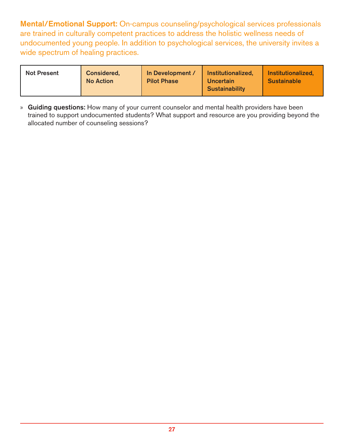Mental/Emotional Support: On-campus counseling/psychological services professionals are trained in culturally competent practices to address the holistic wellness needs of undocumented young people. In addition to psychological services, the university invites a wide spectrum of healing practices.

| <b>Not Present</b> | <b>Considered,</b><br><b>No Action</b> | In Development /<br><b>Pilot Phase</b> | Institutionalized,<br>Uncertain<br><b>Sustainability</b> | Institutionalized,<br><b>Sustainable</b> |
|--------------------|----------------------------------------|----------------------------------------|----------------------------------------------------------|------------------------------------------|
|--------------------|----------------------------------------|----------------------------------------|----------------------------------------------------------|------------------------------------------|

» Guiding questions: How many of your current counselor and mental health providers have been trained to support undocumented students? What support and resource are you providing beyond the allocated number of counseling sessions?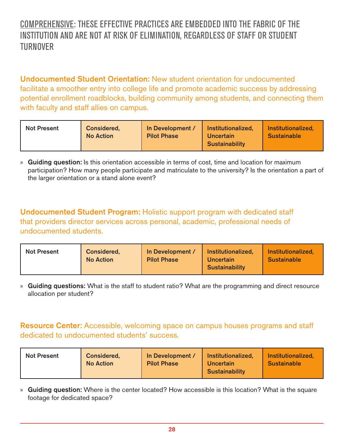### COMPREHENSIVE: THESE EFFECTIVE PRACTICES ARE EMBEDDED INTO THE FABRIC OF THE INSTITUTION AND ARE NOT AT RISK OF ELIMINATION, REGARDLESS OF STAFF OR STUDENT TURNOVER

Undocumented Student Orientation: New student orientation for undocumented facilitate a smoother entry into college life and promote academic success by addressing potential enrollment roadblocks, building community among students, and connecting them with faculty and staff allies on campus.

| <b>Not Present</b> | <b>Considered.</b><br><b>No Action</b> | In Development /<br><b>Pilot Phase</b> | Institutionalized,<br>Uncertain<br><b>Sustainability</b> | Institutionalized,<br><b>Sustainable</b> |
|--------------------|----------------------------------------|----------------------------------------|----------------------------------------------------------|------------------------------------------|
|--------------------|----------------------------------------|----------------------------------------|----------------------------------------------------------|------------------------------------------|

» Guiding question: Is this orientation accessible in terms of cost, time and location for maximum participation? How many people participate and matriculate to the university? Is the orientation a part of the larger orientation or a stand alone event?

Undocumented Student Program: Holistic support program with dedicated staff that providers director services across personal, academic, professional needs of undocumented students.

| <b>Not Present</b> | Considered,<br><b>No Action</b> | In Development /<br><b>Pilot Phase</b> | Institutionalized,<br><b>Uncertain</b><br><b>Sustainability</b> | Institutionalized,<br><b>Sustainable</b> |
|--------------------|---------------------------------|----------------------------------------|-----------------------------------------------------------------|------------------------------------------|
|--------------------|---------------------------------|----------------------------------------|-----------------------------------------------------------------|------------------------------------------|

» Guiding questions: What is the staff to student ratio? What are the programming and direct resource allocation per student?

Resource Center: Accessible, welcoming space on campus houses programs and staff dedicated to undocumented students' success.

| <b>Not Present</b><br><b>No Action</b> | Considered,<br>In Development /<br><b>Pilot Phase</b> | Institutionalized.<br><b>Uncertain</b><br><b>Sustainability</b> | Institutionalized.<br><b>Sustainable</b> |
|----------------------------------------|-------------------------------------------------------|-----------------------------------------------------------------|------------------------------------------|
|----------------------------------------|-------------------------------------------------------|-----------------------------------------------------------------|------------------------------------------|

» Guiding question: Where is the center located? How accessible is this location? What is the square footage for dedicated space?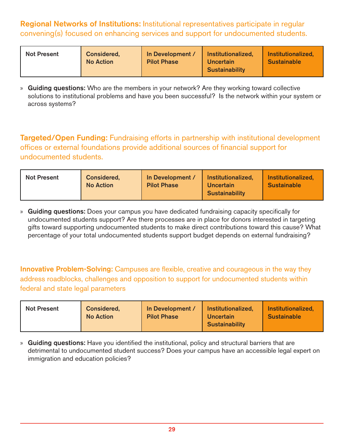Regional Networks of Institutions: Institutional representatives participate in regular convening(s) focused on enhancing services and support for undocumented students.

| <b>Considered.</b><br><b>Not Present</b><br><b>No Action</b> | In Development /<br><b>Pilot Phase</b> | Institutionalized,<br><b>Uncertain</b><br><b>Sustainability</b> | Institutionalized,<br><b>Sustainable</b> |
|--------------------------------------------------------------|----------------------------------------|-----------------------------------------------------------------|------------------------------------------|
|--------------------------------------------------------------|----------------------------------------|-----------------------------------------------------------------|------------------------------------------|

» Guiding questions: Who are the members in your network? Are they working toward collective solutions to institutional problems and have you been successful? Is the network within your system or across systems?

Targeted/Open Funding: Fundraising efforts in partnership with institutional development offices or external foundations provide additional sources of financial support for undocumented students.

| <b>Not Present</b> | Considered,<br><b>No Action</b> | In Development /<br><b>Pilot Phase</b> | Institutionalized.<br><b>Uncertain</b><br><b>Sustainability</b> | <b>Institutionalized,</b><br><b>Sustainable</b> |
|--------------------|---------------------------------|----------------------------------------|-----------------------------------------------------------------|-------------------------------------------------|
|--------------------|---------------------------------|----------------------------------------|-----------------------------------------------------------------|-------------------------------------------------|

» Guiding questions: Does your campus you have dedicated fundraising capacity specifically for undocumented students support? Are there processes are in place for donors interested in targeting gifts toward supporting undocumented students to make direct contributions toward this cause? What percentage of your total undocumented students support budget depends on external fundraising?

Innovative Problem-Solving: Campuses are flexible, creative and courageous in the way they address roadblocks, challenges and opposition to support for undocumented students within federal and state legal parameters

| <b>Not Present</b> | <b>Considered.</b><br><b>No Action</b> | In Development /<br><b>Pilot Phase</b> | Institutionalized,<br><b>Uncertain</b><br><b>Sustainability</b> | Institutionalized,<br><b>Sustainable</b> |
|--------------------|----------------------------------------|----------------------------------------|-----------------------------------------------------------------|------------------------------------------|
|--------------------|----------------------------------------|----------------------------------------|-----------------------------------------------------------------|------------------------------------------|

» Guiding questions: Have you identified the institutional, policy and structural barriers that are detrimental to undocumented student success? Does your campus have an accessible legal expert on immigration and education policies?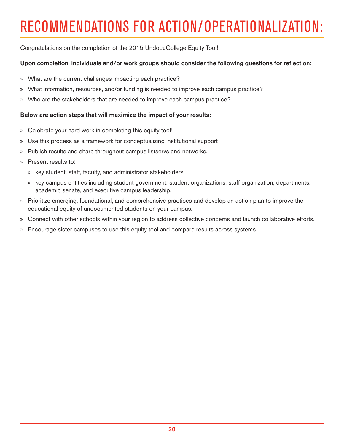# RECOMMENDATIONS FOR ACTION/OPERATIONALIZATION:

Congratulations on the completion of the 2015 UndocuCollege Equity Tool!

#### Upon completion, individuals and/or work groups should consider the following questions for reflection:

- » What are the current challenges impacting each practice?
- » What information, resources, and/or funding is needed to improve each campus practice?
- » Who are the stakeholders that are needed to improve each campus practice?

#### Below are action steps that will maximize the impact of your results:

- » Celebrate your hard work in completing this equity tool!
- » Use this process as a framework for conceptualizing institutional support
- » Publish results and share throughout campus listservs and networks.
- » Present results to:
	- » key student, staff, faculty, and administrator stakeholders
	- » key campus entities including student government, student organizations, staff organization, departments, academic senate, and executive campus leadership.
- » Prioritize emerging, foundational, and comprehensive practices and develop an action plan to improve the educational equity of undocumented students on your campus.
- » Connect with other schools within your region to address collective concerns and launch collaborative efforts.
- » Encourage sister campuses to use this equity tool and compare results across systems.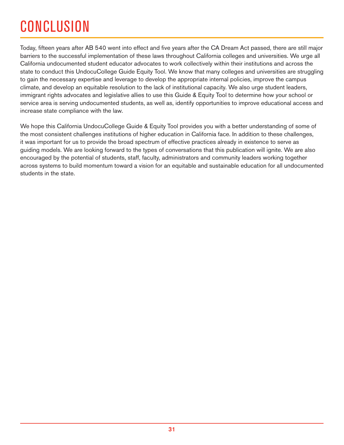# **CONCLUSION**

Today, fifteen years after AB 540 went into effect and five years after the CA Dream Act passed, there are still major barriers to the successful implementation of these laws throughout California colleges and universities. We urge all California undocumented student educator advocates to work collectively within their institutions and across the state to conduct this UndocuCollege Guide Equity Tool. We know that many colleges and universities are struggling to gain the necessary expertise and leverage to develop the appropriate internal policies, improve the campus climate, and develop an equitable resolution to the lack of institutional capacity. We also urge student leaders, immigrant rights advocates and legislative allies to use this Guide & Equity Tool to determine how your school or service area is serving undocumented students, as well as, identify opportunities to improve educational access and increase state compliance with the law.

We hope this California UndocuCollege Guide & Equity Tool provides you with a better understanding of some of the most consistent challenges institutions of higher education in California face. In addition to these challenges, it was important for us to provide the broad spectrum of effective practices already in existence to serve as guiding models. We are looking forward to the types of conversations that this publication will ignite. We are also encouraged by the potential of students, staff, faculty, administrators and community leaders working together across systems to build momentum toward a vision for an equitable and sustainable education for all undocumented students in the state.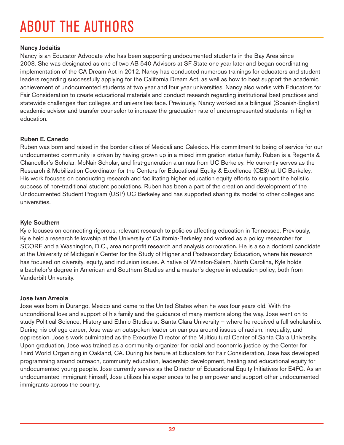# ABOUT THE AUTHORS

#### Nancy Jodaitis

Nancy is an Educator Advocate who has been supporting undocumented students in the Bay Area since 2008. She was designated as one of two AB 540 Advisors at SF State one year later and began coordinating implementation of the CA Dream Act in 2012. Nancy has conducted numerous trainings for educators and student leaders regarding successfully applying for the California Dream Act, as well as how to best support the academic achievement of undocumented students at two year and four year universities. Nancy also works with Educators for Fair Consideration to create educational materials and conduct research regarding institutional best practices and statewide challenges that colleges and universities face. Previously, Nancy worked as a bilingual (Spanish-English) academic advisor and transfer counselor to increase the graduation rate of underrepresented students in higher education.

#### Ruben E. Canedo

Ruben was born and raised in the border cities of Mexicali and Calexico. His commitment to being of service for our undocumented community is driven by having grown up in a mixed immigration status family. Ruben is a Regents & Chancellor's Scholar, McNair Scholar, and first-generation alumnus from UC Berkeley. He currently serves as the Research & Mobilization Coordinator for the Centers for Educational Equity & Excellence (CE3) at UC Berkeley. His work focuses on conducting research and facilitating higher education equity efforts to support the holistic success of non-traditional student populations. Ruben has been a part of the creation and development of the Undocumented Student Program (USP) UC Berkeley and has supported sharing its model to other colleges and universities.

#### Kyle Southern

Kyle focuses on connecting rigorous, relevant research to policies affecting education in Tennessee. Previously, Kyle held a research fellowship at the University of California-Berkeley and worked as a policy researcher for SCORE and a Washington, D.C., area nonprofit research and analysis corporation. He is also a doctoral candidate at the University of Michigan's Center for the Study of Higher and Postsecondary Education, where his research has focused on diversity, equity, and inclusion issues. A native of Winston-Salem, North Carolina, Kyle holds a bachelor's degree in American and Southern Studies and a master's degree in education policy, both from Vanderbilt University.

#### Jose Ivan Arreola

Jose was born in Durango, Mexico and came to the United States when he was four years old. With the unconditional love and support of his family and the guidance of many mentors along the way, Jose went on to study Political Science, History and Ethnic Studies at Santa Clara University — where he received a full scholarship. During his college career, Jose was an outspoken leader on campus around issues of racism, inequality, and oppression. Jose's work culminated as the Executive Director of the Multicultural Center of Santa Clara University. Upon graduation, Jose was trained as a community organizer for racial and economic justice by the Center for Third World Organizing in Oakland, CA. During his tenure at Educators for Fair Consideration, Jose has developed programming around outreach, community education, leadership development, healing and educational equity for undocumented young people. Jose currently serves as the Director of Educational Equity Initiatives for E4FC. As an undocumented immigrant himself, Jose utilizes his experiences to help empower and support other undocumented immigrants across the country.